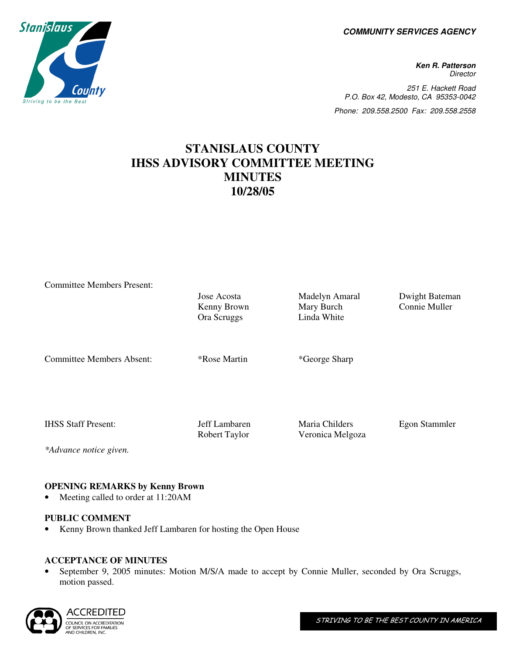**COMMUNITY SERVICES AGENCY** 

**Ken R. Patterson Director** 251 E. Hackett Road P.O. Box 42, Modesto, CA 95353-0042 Phone: 209.558.2500 Fax: 209.558.2558

# **STANISLAUS COUNTY IHSS ADVISORY COMMITTEE MEETING MINUTES 10/28/05**

Committee Members Present:

Kenny Brown Ora Scruggs

Jose Acosta Madelyn Amaral Dwight Bateman Mary Burch Linda White

Connie Muller

Committee Members Absent: \*Rose Martin \*George Sharp

IHSS Staff Present: Jeff Lambaren Maria Childers Egon Stammler

*\*Advance notice given.* 

Robert Taylor Veronica Melgoza

## **OPENING REMARKS by Kenny Brown**

• Meeting called to order at 11:20AM

#### **PUBLIC COMMENT**

• Kenny Brown thanked Jeff Lambaren for hosting the Open House

# **ACCEPTANCE OF MINUTES**

• September 9, 2005 minutes: Motion M/S/A made to accept by Connie Muller, seconded by Ora Scruggs, motion passed.



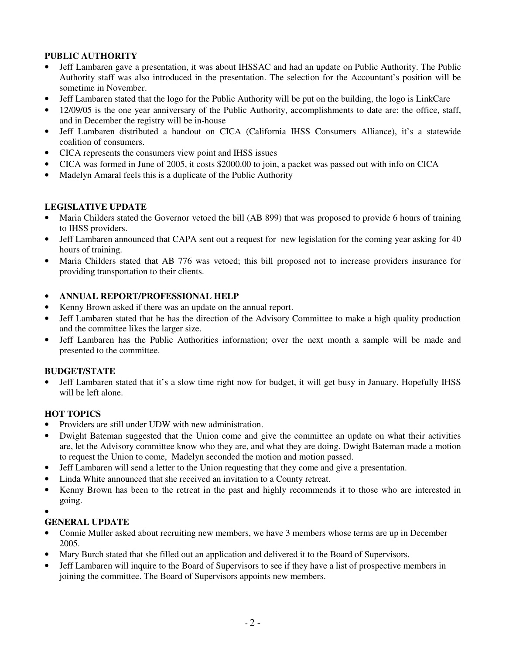### **PUBLIC AUTHORITY**

- Jeff Lambaren gave a presentation, it was about IHSSAC and had an update on Public Authority. The Public Authority staff was also introduced in the presentation. The selection for the Accountant's position will be sometime in November.
- Jeff Lambaren stated that the logo for the Public Authority will be put on the building, the logo is LinkCare
- 12/09/05 is the one year anniversary of the Public Authority, accomplishments to date are: the office, staff, and in December the registry will be in-house
- Jeff Lambaren distributed a handout on CICA (California IHSS Consumers Alliance), it's a statewide coalition of consumers.
- CICA represents the consumers view point and IHSS issues
- CICA was formed in June of 2005, it costs \$2000.00 to join, a packet was passed out with info on CICA
- Madelyn Amaral feels this is a duplicate of the Public Authority

#### **LEGISLATIVE UPDATE**

- Maria Childers stated the Governor vetoed the bill (AB 899) that was proposed to provide 6 hours of training to IHSS providers.
- Jeff Lambaren announced that CAPA sent out a request for new legislation for the coming year asking for 40 hours of training.
- Maria Childers stated that AB 776 was vetoed; this bill proposed not to increase providers insurance for providing transportation to their clients.

#### • **ANNUAL REPORT/PROFESSIONAL HELP**

- Kenny Brown asked if there was an update on the annual report.
- Jeff Lambaren stated that he has the direction of the Advisory Committee to make a high quality production and the committee likes the larger size.
- Jeff Lambaren has the Public Authorities information; over the next month a sample will be made and presented to the committee.

#### **BUDGET/STATE**

• Jeff Lambaren stated that it's a slow time right now for budget, it will get busy in January. Hopefully IHSS will be left alone.

#### **HOT TOPICS**

- Providers are still under UDW with new administration.
- Dwight Bateman suggested that the Union come and give the committee an update on what their activities are, let the Advisory committee know who they are, and what they are doing. Dwight Bateman made a motion to request the Union to come, Madelyn seconded the motion and motion passed.
- Jeff Lambaren will send a letter to the Union requesting that they come and give a presentation.
- Linda White announced that she received an invitation to a County retreat.
- Kenny Brown has been to the retreat in the past and highly recommends it to those who are interested in going.
- •

#### **GENERAL UPDATE**

- Connie Muller asked about recruiting new members, we have 3 members whose terms are up in December 2005.
- Mary Burch stated that she filled out an application and delivered it to the Board of Supervisors.
- Jeff Lambaren will inquire to the Board of Supervisors to see if they have a list of prospective members in joining the committee. The Board of Supervisors appoints new members.